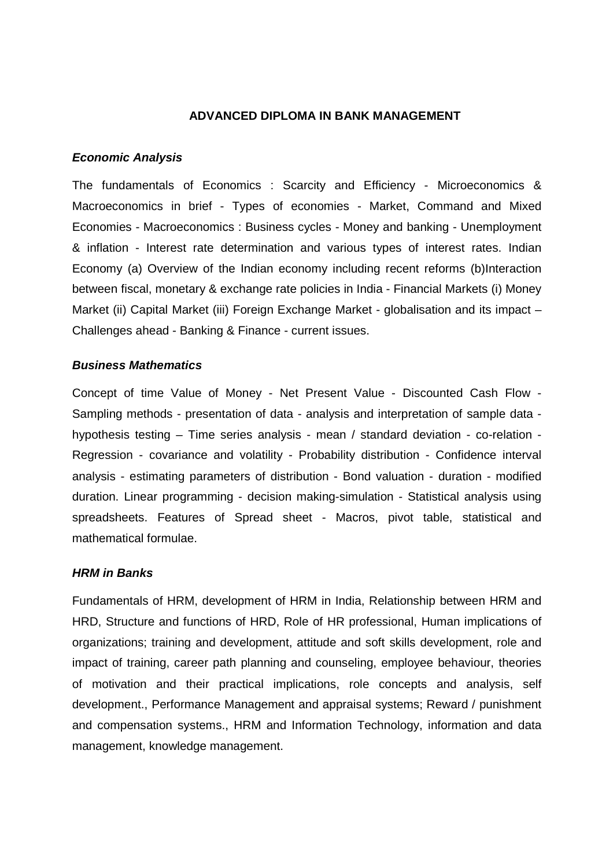## **ADVANCED DIPLOMA IN BANK MANAGEMENT**

## **Economic Analysis**

The fundamentals of Economics : Scarcity and Efficiency - Microeconomics & Macroeconomics in brief - Types of economies - Market, Command and Mixed Economies - Macroeconomics : Business cycles - Money and banking - Unemployment & inflation - Interest rate determination and various types of interest rates. Indian Economy (a) Overview of the Indian economy including recent reforms (b)Interaction between fiscal, monetary & exchange rate policies in India - Financial Markets (i) Money Market (ii) Capital Market (iii) Foreign Exchange Market - globalisation and its impact – Challenges ahead - Banking & Finance - current issues.

# **Business Mathematics**

Concept of time Value of Money - Net Present Value - Discounted Cash Flow - Sampling methods - presentation of data - analysis and interpretation of sample data hypothesis testing – Time series analysis - mean / standard deviation - co-relation - Regression - covariance and volatility - Probability distribution - Confidence interval analysis - estimating parameters of distribution - Bond valuation - duration - modified duration. Linear programming - decision making-simulation - Statistical analysis using spreadsheets. Features of Spread sheet - Macros, pivot table, statistical and mathematical formulae.

## **HRM in Banks**

Fundamentals of HRM, development of HRM in India, Relationship between HRM and HRD, Structure and functions of HRD, Role of HR professional, Human implications of organizations; training and development, attitude and soft skills development, role and impact of training, career path planning and counseling, employee behaviour, theories of motivation and their practical implications, role concepts and analysis, self development., Performance Management and appraisal systems; Reward / punishment and compensation systems., HRM and Information Technology, information and data management, knowledge management.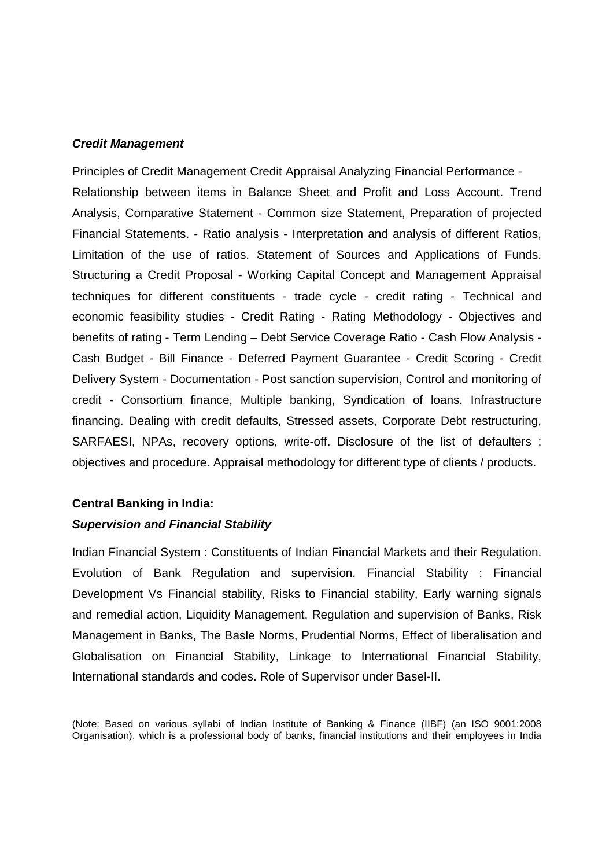#### **Credit Management**

Principles of Credit Management Credit Appraisal Analyzing Financial Performance - Relationship between items in Balance Sheet and Profit and Loss Account. Trend Analysis, Comparative Statement - Common size Statement, Preparation of projected Financial Statements. - Ratio analysis - Interpretation and analysis of different Ratios, Limitation of the use of ratios. Statement of Sources and Applications of Funds. Structuring a Credit Proposal - Working Capital Concept and Management Appraisal techniques for different constituents - trade cycle - credit rating - Technical and economic feasibility studies - Credit Rating - Rating Methodology - Objectives and benefits of rating - Term Lending – Debt Service Coverage Ratio - Cash Flow Analysis - Cash Budget - Bill Finance - Deferred Payment Guarantee - Credit Scoring - Credit Delivery System - Documentation - Post sanction supervision, Control and monitoring of credit - Consortium finance, Multiple banking, Syndication of loans. Infrastructure financing. Dealing with credit defaults, Stressed assets, Corporate Debt restructuring, SARFAESI, NPAs, recovery options, write-off. Disclosure of the list of defaulters : objectives and procedure. Appraisal methodology for different type of clients / products.

## **Central Banking in India:**

## **Supervision and Financial Stability**

Indian Financial System : Constituents of Indian Financial Markets and their Regulation. Evolution of Bank Regulation and supervision. Financial Stability : Financial Development Vs Financial stability, Risks to Financial stability, Early warning signals and remedial action, Liquidity Management, Regulation and supervision of Banks, Risk Management in Banks, The Basle Norms, Prudential Norms, Effect of liberalisation and Globalisation on Financial Stability, Linkage to International Financial Stability, International standards and codes. Role of Supervisor under Basel-II.

(Note: Based on various syllabi of Indian Institute of Banking & Finance (IIBF) (an ISO 9001:2008 Organisation), which is a professional body of banks, financial institutions and their employees in India